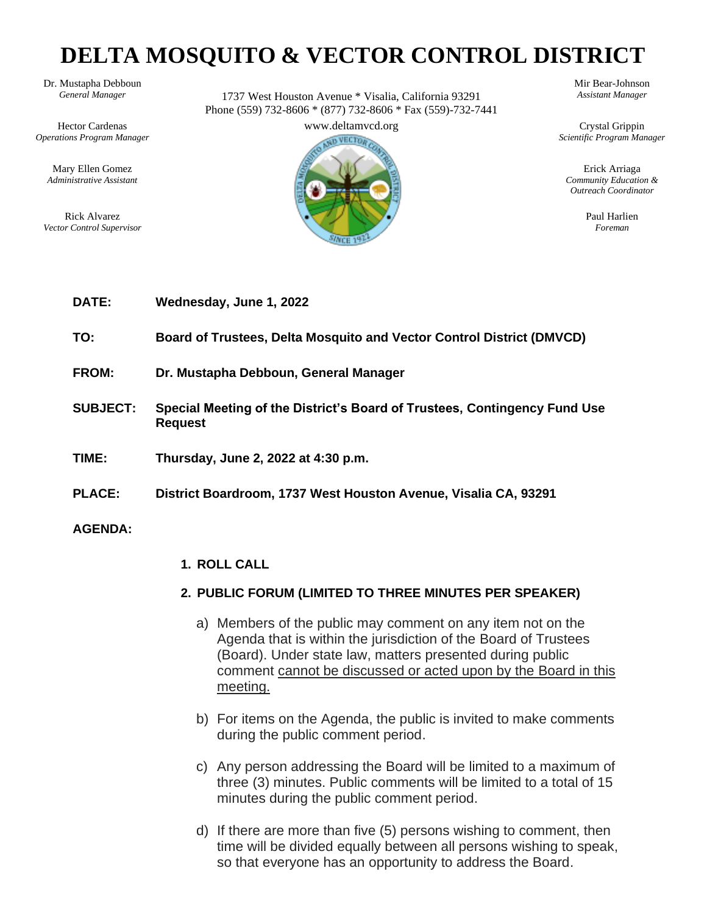# **DELTA MOSQUITO & VECTOR CONTROL DISTRICT**

Hector Cardenas www.deltamvcd.org Crystal Grippin *Operations Program Manager Scientific Program Manager*

Dr. Mustapha Debboun Mir Bear-Johnson<br>General Manager 1737 West Houston Avenue \* Visalia California 93291 Assistant Manager *General Manager* 1737 West Houston Avenue \* Visalia, California 93291 *Assistant Manager* Phone (559) 732-8606 \* (877) 732-8606 \* Fax (559)-732-7441



*Administrative Assistant Community Education & Outreach Coordinator*

| <b>DATE:</b>    | Wednesday, June 1, 2022                                                                     |
|-----------------|---------------------------------------------------------------------------------------------|
| TO:             | Board of Trustees, Delta Mosquito and Vector Control District (DMVCD)                       |
| <b>FROM:</b>    | Dr. Mustapha Debboun, General Manager                                                       |
| <b>SUBJECT:</b> | Special Meeting of the District's Board of Trustees, Contingency Fund Use<br><b>Request</b> |
| TIME:           | Thursday, June 2, 2022 at 4:30 p.m.                                                         |
| <b>PLACE:</b>   | District Boardroom, 1737 West Houston Avenue, Visalia CA, 93291                             |
| <b>AGENDA:</b>  |                                                                                             |
|                 | 1. ROLL CALL                                                                                |

- **2. PUBLIC FORUM (LIMITED TO THREE MINUTES PER SPEAKER)**
	- a) Members of the public may comment on any item not on the Agenda that is within the jurisdiction of the Board of Trustees (Board). Under state law, matters presented during public comment cannot be discussed or acted upon by the Board in this meeting.
	- b) For items on the Agenda, the public is invited to make comments during the public comment period.
	- c) Any person addressing the Board will be limited to a maximum of three (3) minutes. Public comments will be limited to a total of 15 minutes during the public comment period.
	- d) If there are more than five (5) persons wishing to comment, then time will be divided equally between all persons wishing to speak, so that everyone has an opportunity to address the Board.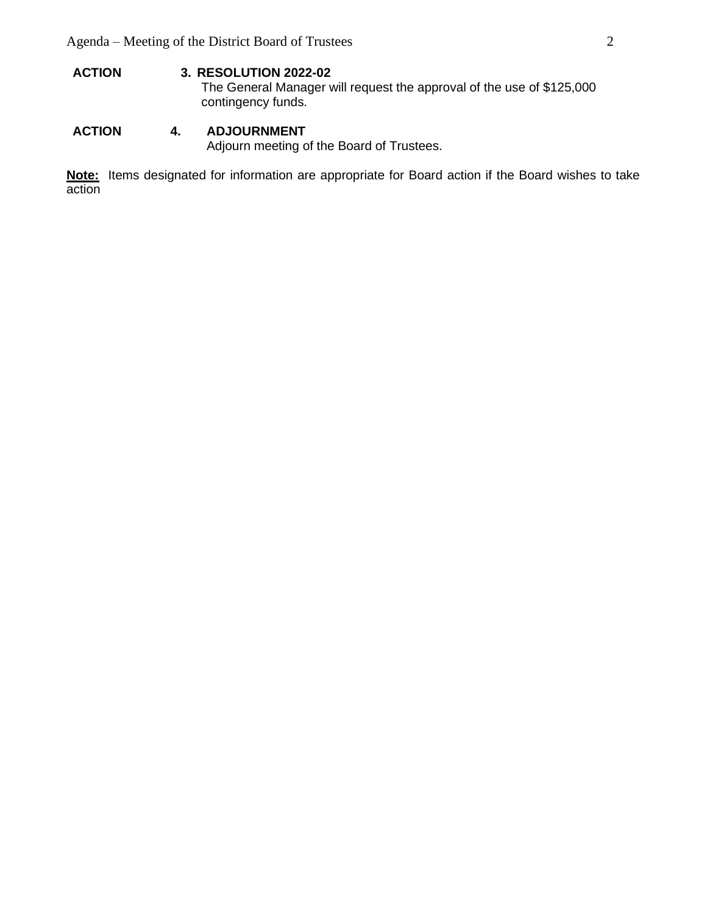**ACTION 3. RESOLUTION 2022-02** The General Manager will request the approval of the use of \$125,000 contingency funds.

#### **ACTION 4. ADJOURNMENT**  Adjourn meeting of the Board of Trustees.

**Note:** Items designated for information are appropriate for Board action if the Board wishes to take action